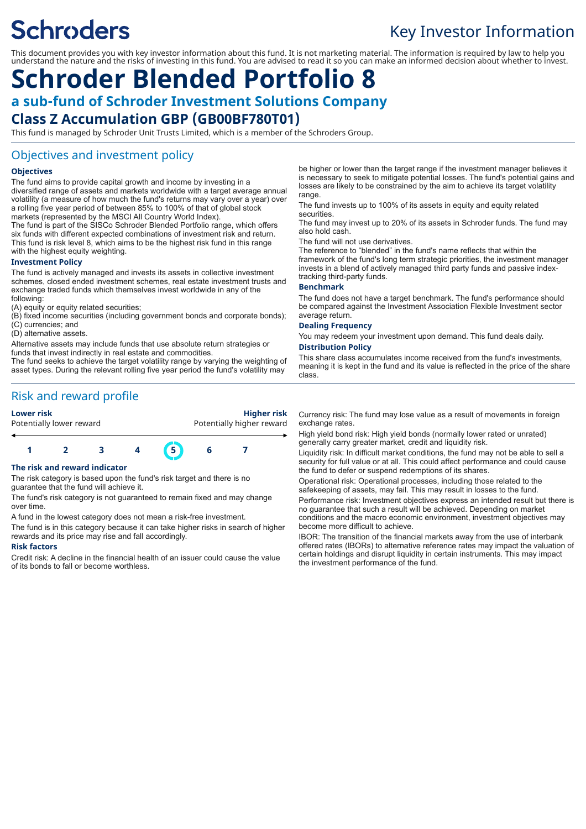# **Schroders**

# Key Investor Information

This document provides you with key investor information about this fund. It is not marketing material. The information is required by law to help you understand the nature and the risks of investing in this fund. You are advised to read it so you can make an informed decision about whether to invest.

# **Schroder Blended Portfolio 8 a sub-fund of Schroder Investment Solutions Company**

# **Class Z Accumulation GBP (GB00BF780T01)**

This fund is managed by Schroder Unit Trusts Limited, which is a member of the Schroders Group.

## Objectives and investment policy

#### **Objectives**

The fund aims to provide capital growth and income by investing in a diversified range of assets and markets worldwide with a target average annual volatility (a measure of how much the fund's returns may vary over a year) over a rolling five year period of between 85% to 100% of that of global stock markets (represented by the MSCI All Country World Index).

The fund is part of the SISCo Schroder Blended Portfolio range, which offers six funds with different expected combinations of investment risk and return. This fund is risk level 8, which aims to be the highest risk fund in this range with the highest equity weighting.

#### **Investment Policy**

The fund is actively managed and invests its assets in collective investment schemes, closed ended investment schemes, real estate investment trusts and exchange traded funds which themselves invest worldwide in any of the following:

(A) equity or equity related securities;

(B) fixed income securities (including government bonds and corporate bonds);

(C) currencies; and

(D) alternative assets.

Alternative assets may include funds that use absolute return strategies or funds that invest indirectly in real estate and commodities.

The fund seeks to achieve the target volatility range by varying the weighting of asset types. During the relevant rolling five year period the fund's volatility may

Risk and reward profile

| <b>Lower risk</b>        | <b>Higher risk</b>        |
|--------------------------|---------------------------|
| Potentially lower reward | Potentially higher reward |
|                          |                           |

**1 2 3 4 5 6 7**

#### **The risk and reward indicator**

The risk category is based upon the fund's risk target and there is no guarantee that the fund will achieve it.

The fund's risk category is not guaranteed to remain fixed and may change over time.

A fund in the lowest category does not mean a risk-free investment.

The fund is in this category because it can take higher risks in search of higher rewards and its price may rise and fall accordingly.

#### **Risk factors**

Credit risk: A decline in the financial health of an issuer could cause the value of its bonds to fall or become worthless.

be higher or lower than the target range if the investment manager believes it is necessary to seek to mitigate potential losses. The fund's potential gains and losses are likely to be constrained by the aim to achieve its target volatility range.

The fund invests up to 100% of its assets in equity and equity related securities.

The fund may invest up to 20% of its assets in Schroder funds. The fund may also hold cash.

The fund will not use derivatives.

The reference to "blended" in the fund's name reflects that within the framework of the fund's long term strategic priorities, the investment manager invests in a blend of actively managed third party funds and passive indextracking third-party funds.

#### **Benchmark**

The fund does not have a target benchmark. The fund's performance should be compared against the Investment Association Flexible Investment sector average return.

#### **Dealing Frequency**

You may redeem your investment upon demand. This fund deals daily.

#### **Distribution Policy**

This share class accumulates income received from the fund's investments, meaning it is kept in the fund and its value is reflected in the price of the share class.

Currency risk: The fund may lose value as a result of movements in foreign exchange rates.

High yield bond risk: High yield bonds (normally lower rated or unrated) generally carry greater market, credit and liquidity risk.

Liquidity risk: In difficult market conditions, the fund may not be able to sell a security for full value or at all. This could affect performance and could cause the fund to defer or suspend redemptions of its shares.

Operational risk: Operational processes, including those related to the safekeeping of assets, may fail. This may result in losses to the fund.

Performance risk: Investment objectives express an intended result but there is no guarantee that such a result will be achieved. Depending on market conditions and the macro economic environment, investment objectives may become more difficult to achieve.

IBOR: The transition of the financial markets away from the use of interbank offered rates (IBORs) to alternative reference rates may impact the valuation of certain holdings and disrupt liquidity in certain instruments. This may impact the investment performance of the fund.